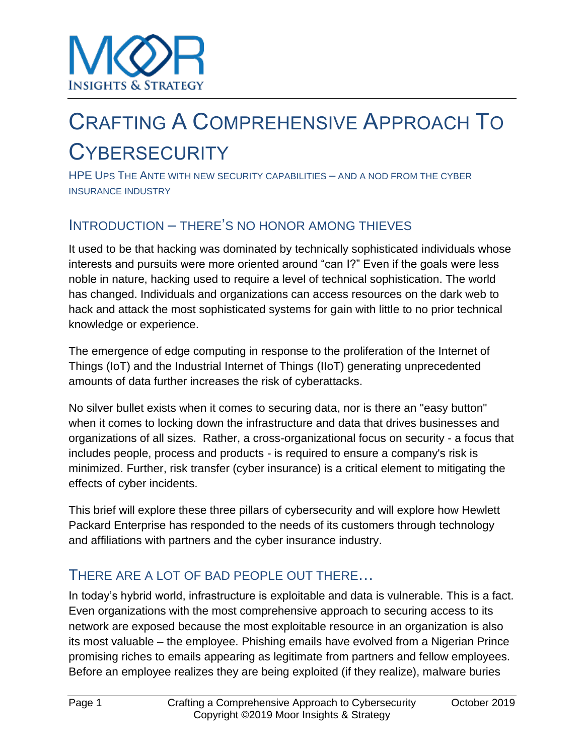# CRAFTING A COMPREHENSIVE APPROACH TO **CYBERSECURITY**

HPE UPS THE ANTE WITH NEW SECURITY CAPABILITIES – AND A NOD FROM THE CYBER INSURANCE INDUSTRY

# INTRODUCTION – THERE'S NO HONOR AMONG THIEVES

It used to be that hacking was dominated by technically sophisticated individuals whose interests and pursuits were more oriented around "can I?" Even if the goals were less noble in nature, hacking used to require a level of technical sophistication. The world has changed. Individuals and organizations can access resources on the dark web to hack and attack the most sophisticated systems for gain with little to no prior technical knowledge or experience.

The emergence of edge computing in response to the proliferation of the Internet of Things (IoT) and the Industrial Internet of Things (IIoT) generating unprecedented amounts of data further increases the risk of cyberattacks.

No silver bullet exists when it comes to securing data, nor is there an "easy button" when it comes to locking down the infrastructure and data that drives businesses and organizations of all sizes. Rather, a cross-organizational focus on security - a focus that includes people, process and products - is required to ensure a company's risk is minimized. Further, risk transfer (cyber insurance) is a critical element to mitigating the effects of cyber incidents.

This brief will explore these three pillars of cybersecurity and will explore how Hewlett Packard Enterprise has responded to the needs of its customers through technology and affiliations with partners and the cyber insurance industry.

# THERE ARE A LOT OF BAD PEOPLE OUT THERE…

In today's hybrid world, infrastructure is exploitable and data is vulnerable. This is a fact. Even organizations with the most comprehensive approach to securing access to its network are exposed because the most exploitable resource in an organization is also its most valuable – the employee. Phishing emails have evolved from a Nigerian Prince promising riches to emails appearing as legitimate from partners and fellow employees. Before an employee realizes they are being exploited (if they realize), malware buries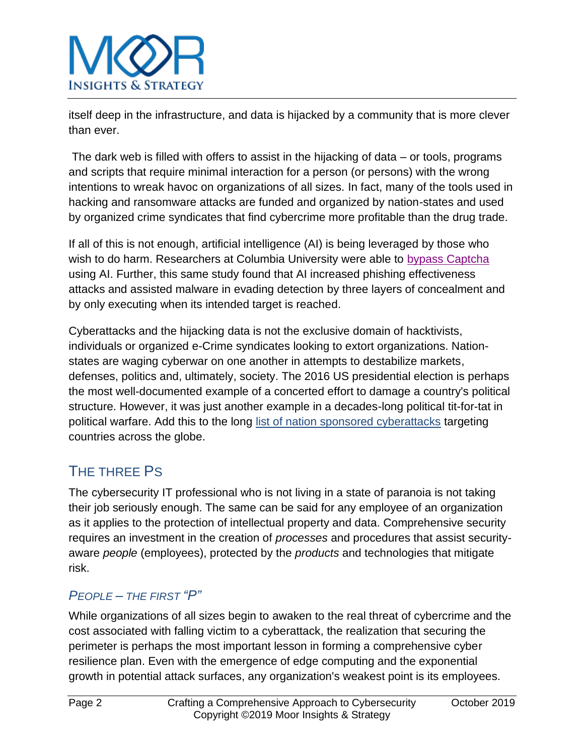

itself deep in the infrastructure, and data is hijacked by a community that is more clever than ever.

The dark web is filled with offers to assist in the hijacking of data – or tools, programs and scripts that require minimal interaction for a person (or persons) with the wrong intentions to wreak havoc on organizations of all sizes. In fact, many of the tools used in hacking and ransomware attacks are funded and organized by nation-states and used by organized crime syndicates that find cybercrime more profitable than the drug trade.

If all of this is not enough, artificial intelligence (AI) is being leveraged by those who wish to do harm. Researchers at Columbia University were able to [bypass Captcha](https://www.blackhat.com/docs/asia-16/materials/asia-16-Sivakorn-Im-Not-a-Human-Breaking-the-Google-reCAPTCHA-wp.pdf) using AI. Further, this same study found that AI increased phishing effectiveness attacks and assisted malware in evading detection by three layers of concealment and by only executing when its intended target is reached.

Cyberattacks and the hijacking data is not the exclusive domain of hacktivists, individuals or organized e-Crime syndicates looking to extort organizations. Nationstates are waging cyberwar on one another in attempts to destabilize markets, defenses, politics and, ultimately, society. The 2016 US presidential election is perhaps the most well-documented example of a concerted effort to damage a country's political structure. However, it was just another example in a decades-long political tit-for-tat in political warfare. Add this to the long [list of nation sponsored cyberattacks](https://www.csis.org/programs/technology-policy-program/significant-cyber-incidents) targeting countries across the globe.

# THE THREE PS

The cybersecurity IT professional who is not living in a state of paranoia is not taking their job seriously enough. The same can be said for any employee of an organization as it applies to the protection of intellectual property and data. Comprehensive security requires an investment in the creation of *processes* and procedures that assist securityaware *people* (employees), protected by the *products* and technologies that mitigate risk.

### *PEOPLE – THE FIRST "P"*

While organizations of all sizes begin to awaken to the real threat of cybercrime and the cost associated with falling victim to a cyberattack, the realization that securing the perimeter is perhaps the most important lesson in forming a comprehensive cyber resilience plan. Even with the emergence of edge computing and the exponential growth in potential attack surfaces, any organization's weakest point is its employees.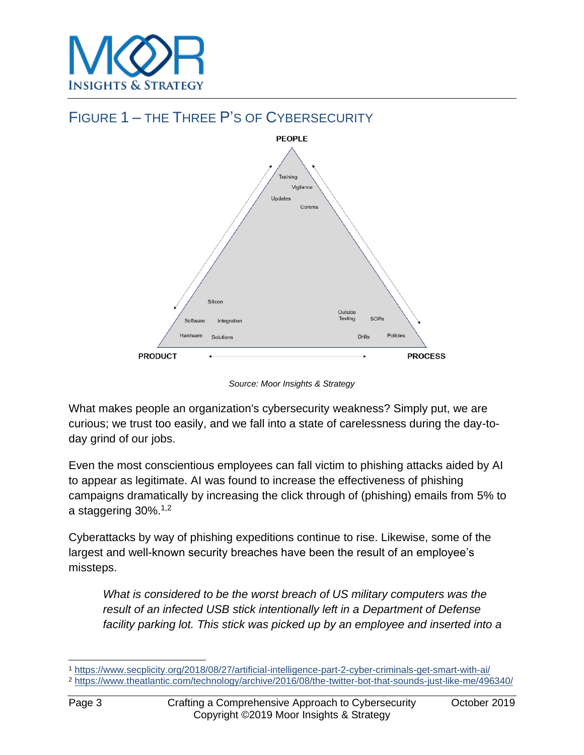



*Source: Moor Insights & Strategy*

What makes people an organization's cybersecurity weakness? Simply put, we are curious; we trust too easily, and we fall into a state of carelessness during the day-today grind of our jobs.

Even the most conscientious employees can fall victim to phishing attacks aided by AI to appear as legitimate. AI was found to increase the effectiveness of phishing campaigns dramatically by increasing the click through of (phishing) emails from 5% to a staggering 30%.1,2

Cyberattacks by way of phishing expeditions continue to rise. Likewise, some of the largest and well-known security breaches have been the result of an employee's missteps.

*What is considered to be the worst breach of US military computers was the result of an infected USB stick intentionally left in a Department of Defense facility parking lot. This stick was picked up by an employee and inserted into a* 

<sup>1</sup> <https://www.secplicity.org/2018/08/27/artificial-intelligence-part-2-cyber-criminals-get-smart-with-ai/>

<sup>2</sup> <https://www.theatlantic.com/technology/archive/2016/08/the-twitter-bot-that-sounds-just-like-me/496340/>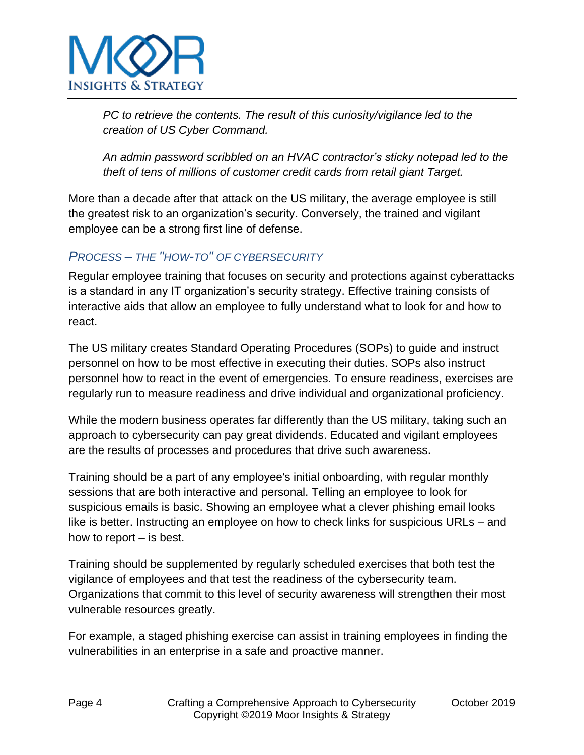

*PC to retrieve the contents. The result of this curiosity/vigilance led to the creation of US Cyber Command.*

*An admin password scribbled on an HVAC contractor's sticky notepad led to the theft of tens of millions of customer credit cards from retail giant Target.* 

More than a decade after that attack on the US military, the average employee is still the greatest risk to an organization's security. Conversely, the trained and vigilant employee can be a strong first line of defense.

### *PROCESS – THE "HOW-TO" OF CYBERSECURITY*

Regular employee training that focuses on security and protections against cyberattacks is a standard in any IT organization's security strategy. Effective training consists of interactive aids that allow an employee to fully understand what to look for and how to react.

The US military creates Standard Operating Procedures (SOPs) to guide and instruct personnel on how to be most effective in executing their duties. SOPs also instruct personnel how to react in the event of emergencies. To ensure readiness, exercises are regularly run to measure readiness and drive individual and organizational proficiency.

While the modern business operates far differently than the US military, taking such an approach to cybersecurity can pay great dividends. Educated and vigilant employees are the results of processes and procedures that drive such awareness.

Training should be a part of any employee's initial onboarding, with regular monthly sessions that are both interactive and personal. Telling an employee to look for suspicious emails is basic. Showing an employee what a clever phishing email looks like is better. Instructing an employee on how to check links for suspicious URLs – and how to report – is best.

Training should be supplemented by regularly scheduled exercises that both test the vigilance of employees and that test the readiness of the cybersecurity team. Organizations that commit to this level of security awareness will strengthen their most vulnerable resources greatly.

For example, a staged phishing exercise can assist in training employees in finding the vulnerabilities in an enterprise in a safe and proactive manner.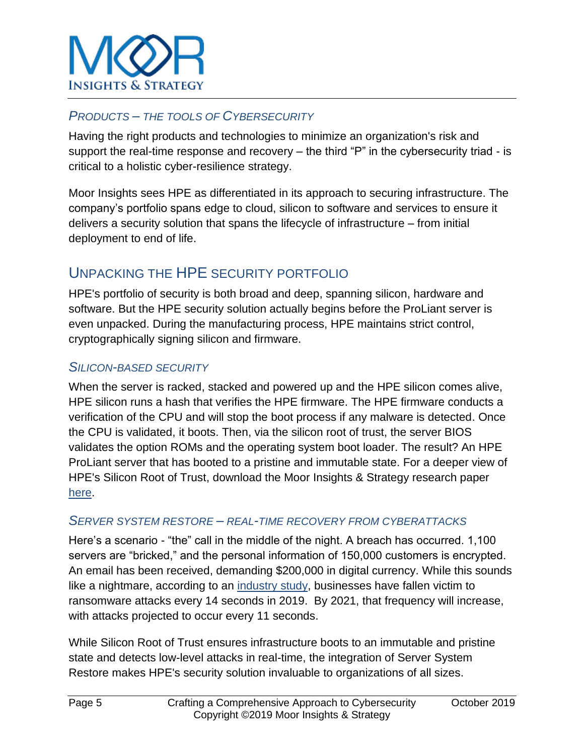

### *PRODUCTS – THE TOOLS OF CYBERSECURITY*

Having the right products and technologies to minimize an organization's risk and support the real-time response and recovery – the third "P" in the cybersecurity triad - is critical to a holistic cyber-resilience strategy.

Moor Insights sees HPE as differentiated in its approach to securing infrastructure. The company's portfolio spans edge to cloud, silicon to software and services to ensure it delivers a security solution that spans the lifecycle of infrastructure – from initial deployment to end of life.

# UNPACKING THE HPE SECURITY PORTFOLIO

HPE's portfolio of security is both broad and deep, spanning silicon, hardware and software. But the HPE security solution actually begins before the ProLiant server is even unpacked. During the manufacturing process, HPE maintains strict control, cryptographically signing silicon and firmware.

#### *SILICON-BASED SECURITY*

When the server is racked, stacked and powered up and the HPE silicon comes alive, HPE silicon runs a hash that verifies the HPE firmware. The HPE firmware conducts a verification of the CPU and will stop the boot process if any malware is detected. Once the CPU is validated, it boots. Then, via the silicon root of trust, the server BIOS validates the option ROMs and the operating system boot loader. The result? An HPE ProLiant server that has booted to a pristine and immutable state. For a deeper view of HPE's Silicon Root of Trust, download the Moor Insights & Strategy research paper [here.](http://www.moorinsightsstrategy.com/wp-content/uploads/2017/08/Demystifying-Server-Root-Of-Trust-by-Moor-Insights-and-Strategy.pdf)

#### *SERVER SYSTEM RESTORE – REAL-TIME RECOVERY FROM CYBERATTACKS*

Here's a scenario - "the" call in the middle of the night. A breach has occurred. 1,100 servers are "bricked," and the personal information of 150,000 customers is encrypted. An email has been received, demanding \$200,000 in digital currency. While this sounds like a nightmare, according to an [industry study,](https://cybersecurityventures.com/cybersecurity-almanac-2019/) businesses have fallen victim to ransomware attacks every 14 seconds in 2019. By 2021, that frequency will increase, with attacks projected to occur every 11 seconds.

While Silicon Root of Trust ensures infrastructure boots to an immutable and pristine state and detects low-level attacks in real-time, the integration of Server System Restore makes HPE's security solution invaluable to organizations of all sizes.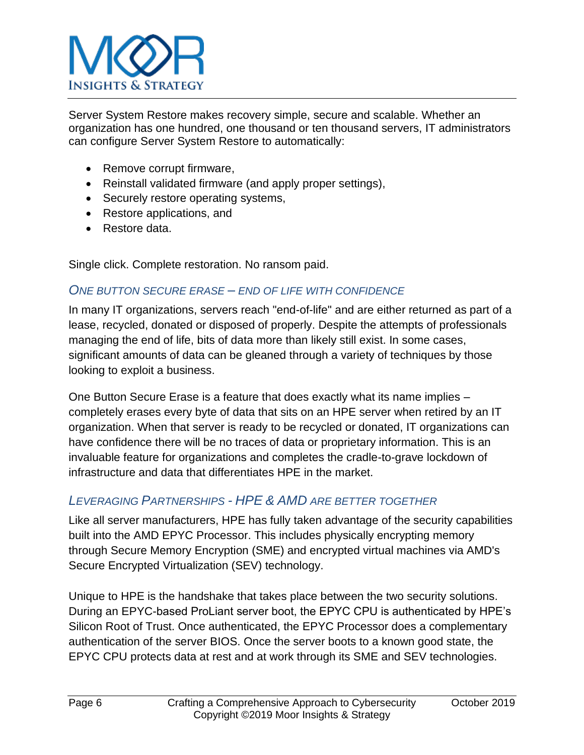

Server System Restore makes recovery simple, secure and scalable. Whether an organization has one hundred, one thousand or ten thousand servers, IT administrators can configure Server System Restore to automatically:

- Remove corrupt firmware,
- Reinstall validated firmware (and apply proper settings),
- Securely restore operating systems,
- Restore applications, and
- Restore data.

Single click. Complete restoration. No ransom paid.

#### *ONE BUTTON SECURE ERASE – END OF LIFE WITH CONFIDENCE*

In many IT organizations, servers reach "end-of-life" and are either returned as part of a lease, recycled, donated or disposed of properly. Despite the attempts of professionals managing the end of life, bits of data more than likely still exist. In some cases, significant amounts of data can be gleaned through a variety of techniques by those looking to exploit a business.

One Button Secure Erase is a feature that does exactly what its name implies – completely erases every byte of data that sits on an HPE server when retired by an IT organization. When that server is ready to be recycled or donated, IT organizations can have confidence there will be no traces of data or proprietary information. This is an invaluable feature for organizations and completes the cradle-to-grave lockdown of infrastructure and data that differentiates HPE in the market.

### *LEVERAGING PARTNERSHIPS - HPE & AMD ARE BETTER TOGETHER*

Like all server manufacturers, HPE has fully taken advantage of the security capabilities built into the AMD EPYC Processor. This includes physically encrypting memory through Secure Memory Encryption (SME) and encrypted virtual machines via AMD's Secure Encrypted Virtualization (SEV) technology.

Unique to HPE is the handshake that takes place between the two security solutions. During an EPYC-based ProLiant server boot, the EPYC CPU is authenticated by HPE's Silicon Root of Trust. Once authenticated, the EPYC Processor does a complementary authentication of the server BIOS. Once the server boots to a known good state, the EPYC CPU protects data at rest and at work through its SME and SEV technologies.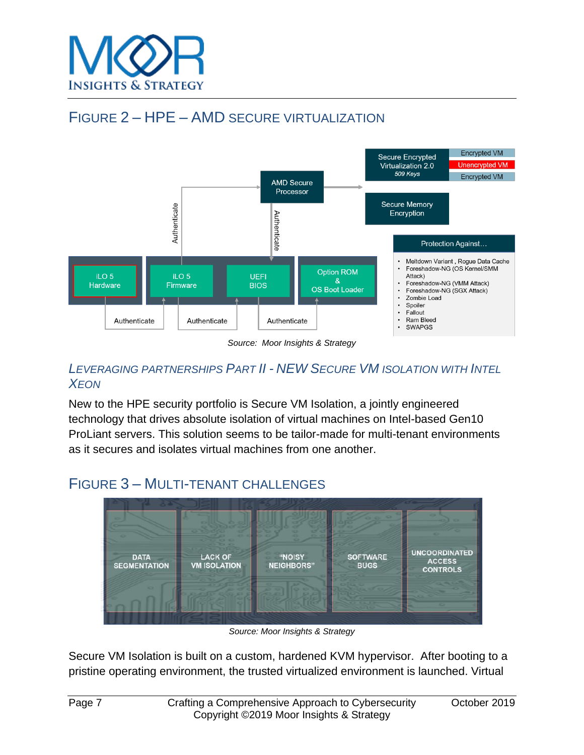

# FIGURE 2 – HPE – AMD SECURE VIRTUALIZATION



*Source: Moor Insights & Strategy* 

### *LEVERAGING PARTNERSHIPS PART II - NEW SECURE VM ISOLATION WITH INTEL XEON*

New to the HPE security portfolio is Secure VM Isolation, a jointly engineered technology that drives absolute isolation of virtual machines on Intel-based Gen10 ProLiant servers. This solution seems to be tailor-made for multi-tenant environments as it secures and isolates virtual machines from one another.

# FIGURE 3 – MULTI-TENANT CHALLENGES



*Source: Moor Insights & Strategy*

Secure VM Isolation is built on a custom, hardened KVM hypervisor. After booting to a pristine operating environment, the trusted virtualized environment is launched. Virtual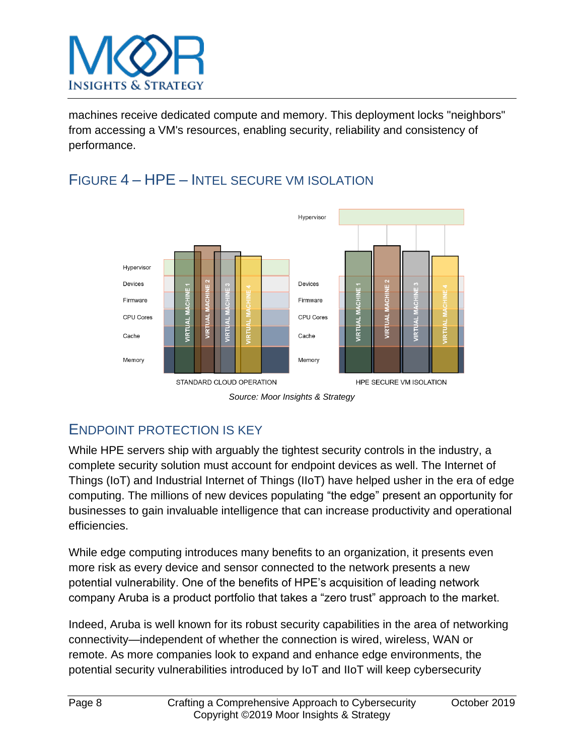

machines receive dedicated compute and memory. This deployment locks "neighbors" from accessing a VM's resources, enabling security, reliability and consistency of performance.



# FIGURE 4 – HPE – INTEL SECURE VM ISOLATION



# ENDPOINT PROTECTION IS KEY

While HPE servers ship with arguably the tightest security controls in the industry, a complete security solution must account for endpoint devices as well. The Internet of Things (IoT) and Industrial Internet of Things (IIoT) have helped usher in the era of edge computing. The millions of new devices populating "the edge" present an opportunity for businesses to gain invaluable intelligence that can increase productivity and operational efficiencies.

While edge computing introduces many benefits to an organization, it presents even more risk as every device and sensor connected to the network presents a new potential vulnerability. One of the benefits of HPE's acquisition of leading network company Aruba is a product portfolio that takes a "zero trust" approach to the market.

Indeed, Aruba is well known for its robust security capabilities in the area of networking connectivity—independent of whether the connection is wired, wireless, WAN or remote. As more companies look to expand and enhance edge environments, the potential security vulnerabilities introduced by IoT and IIoT will keep cybersecurity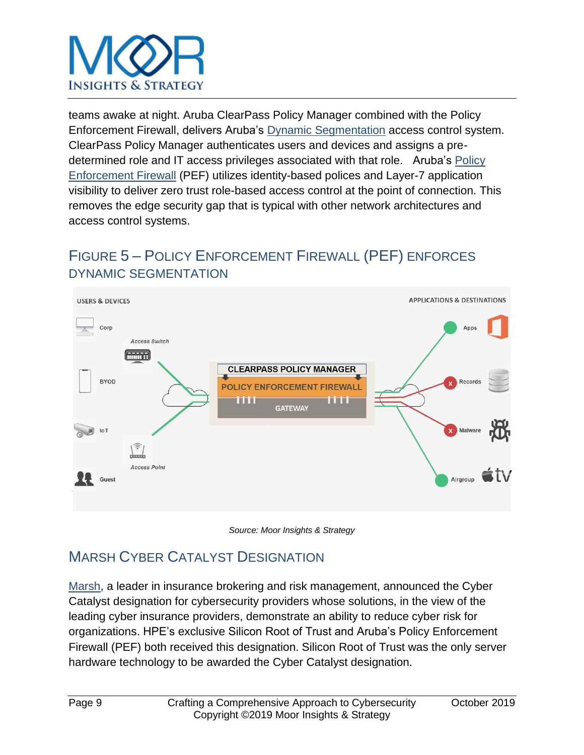

teams awake at night. Aruba ClearPass Policy Manager combined with the Policy Enforcement Firewall, delivers Aruba's [Dynamic Segmentation](https://www.arubanetworks.com/en-au/solutions/dynamic-segmentation/) access control system. ClearPass Policy Manager authenticates users and devices and assigns a predetermined role and IT access privileges associated with that role. Aruba's [Policy](https://www.arubanetworks.com/products/security/policy-enforcement-firewall/)  [Enforcement Firewall](https://www.arubanetworks.com/products/security/policy-enforcement-firewall/) (PEF) utilizes identity-based polices and Layer-7 application visibility to deliver zero trust role-based access control at the point of connection. This removes the edge security gap that is typical with other network architectures and access control systems.

# FIGURE 5 – POLICY ENFORCEMENT FIREWALL (PEF) ENFORCES DYNAMIC SEGMENTATION





# MARSH CYBER CATALYST DESIGNATION

[Marsh,](https://www.marsh.com/us/services/cyber-risk/cyber-catalyst.html) a leader in insurance brokering and risk management, announced the Cyber Catalyst designation for cybersecurity providers whose solutions, in the view of the leading cyber insurance providers, demonstrate an ability to reduce cyber risk for organizations. HPE's exclusive Silicon Root of Trust and Aruba's Policy Enforcement Firewall (PEF) both received this designation. Silicon Root of Trust was the only server hardware technology to be awarded the Cyber Catalyst designation.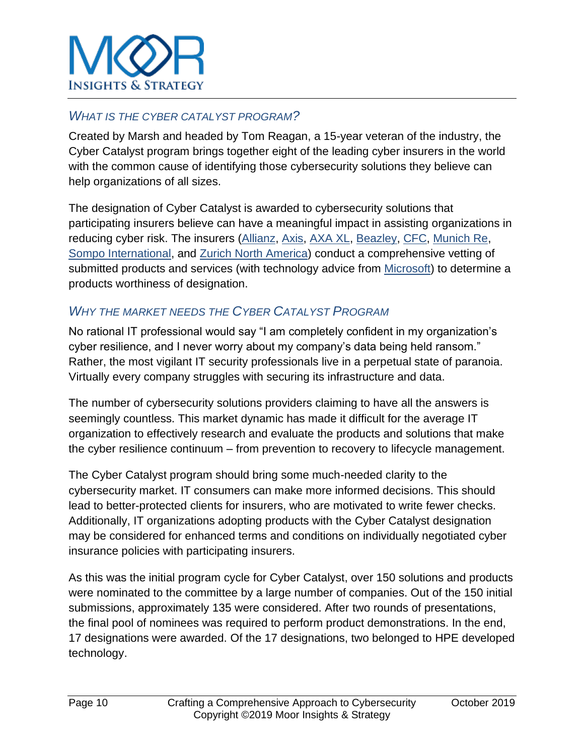

#### *WHAT IS THE CYBER CATALYST PROGRAM?*

Created by Marsh and headed by Tom Reagan, a 15-year veteran of the industry, the Cyber Catalyst program brings together eight of the leading cyber insurers in the world with the common cause of identifying those cybersecurity solutions they believe can help organizations of all sizes.

The designation of Cyber Catalyst is awarded to cybersecurity solutions that participating insurers believe can have a meaningful impact in assisting organizations in reducing cyber risk. The insurers [\(Allianz,](https://www.allianz.com/en.html) [Axis,](https://www.axiscapital.com/insurance/cyber-cyber-technology/cyber) [AXA XL,](https://axaxl.com/insurance/insurance-coverage/professional-insurance/cyber-and-technology) [Beazley,](https://www.beazley.com/usa/cyber_and_executive_risk/cyber_and_tech.html) [CFC,](https://www.cfcunderwriting.com/products/class/cyber/) [Munich Re,](https://www.munichre.com/HSB/cyber-insurance/index.html) [Sompo International,](https://www.sompo-intl.com/insurance/cyber-network-risk/) and [Zurich North America\)](https://www.zurichna.com/en/about/cybersecurity?WT.mc_id=google_insurance&WT.srch=1) conduct a comprehensive vetting of submitted products and services (with technology advice from [Microsoft\)](https://www.microsoft.com/en-us/) to determine a products worthiness of designation.

### *WHY THE MARKET NEEDS THE CYBER CATALYST PROGRAM*

No rational IT professional would say "I am completely confident in my organization's cyber resilience, and I never worry about my company's data being held ransom." Rather, the most vigilant IT security professionals live in a perpetual state of paranoia. Virtually every company struggles with securing its infrastructure and data.

The number of cybersecurity solutions providers claiming to have all the answers is seemingly countless. This market dynamic has made it difficult for the average IT organization to effectively research and evaluate the products and solutions that make the cyber resilience continuum – from prevention to recovery to lifecycle management.

The Cyber Catalyst program should bring some much-needed clarity to the cybersecurity market. IT consumers can make more informed decisions. This should lead to better-protected clients for insurers, who are motivated to write fewer checks. Additionally, IT organizations adopting products with the Cyber Catalyst designation may be considered for enhanced terms and conditions on individually negotiated cyber insurance policies with participating insurers.

As this was the initial program cycle for Cyber Catalyst, over 150 solutions and products were nominated to the committee by a large number of companies. Out of the 150 initial submissions, approximately 135 were considered. After two rounds of presentations, the final pool of nominees was required to perform product demonstrations. In the end, 17 designations were awarded. Of the 17 designations, two belonged to HPE developed technology.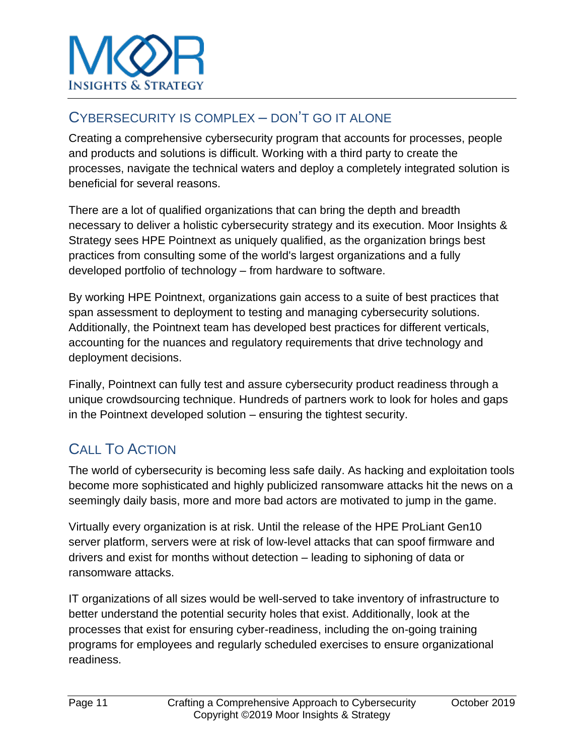

### CYBERSECURITY IS COMPLEX – DON'T GO IT ALONE

Creating a comprehensive cybersecurity program that accounts for processes, people and products and solutions is difficult. Working with a third party to create the processes, navigate the technical waters and deploy a completely integrated solution is beneficial for several reasons.

There are a lot of qualified organizations that can bring the depth and breadth necessary to deliver a holistic cybersecurity strategy and its execution. Moor Insights & Strategy sees HPE Pointnext as uniquely qualified, as the organization brings best practices from consulting some of the world's largest organizations and a fully developed portfolio of technology – from hardware to software.

By working HPE Pointnext, organizations gain access to a suite of best practices that span assessment to deployment to testing and managing cybersecurity solutions. Additionally, the Pointnext team has developed best practices for different verticals, accounting for the nuances and regulatory requirements that drive technology and deployment decisions.

Finally, Pointnext can fully test and assure cybersecurity product readiness through a unique crowdsourcing technique. Hundreds of partners work to look for holes and gaps in the Pointnext developed solution – ensuring the tightest security.

# CALL TO ACTION

The world of cybersecurity is becoming less safe daily. As hacking and exploitation tools become more sophisticated and highly publicized ransomware attacks hit the news on a seemingly daily basis, more and more bad actors are motivated to jump in the game.

Virtually every organization is at risk. Until the release of the HPE ProLiant Gen10 server platform, servers were at risk of low-level attacks that can spoof firmware and drivers and exist for months without detection – leading to siphoning of data or ransomware attacks.

IT organizations of all sizes would be well-served to take inventory of infrastructure to better understand the potential security holes that exist. Additionally, look at the processes that exist for ensuring cyber-readiness, including the on-going training programs for employees and regularly scheduled exercises to ensure organizational readiness.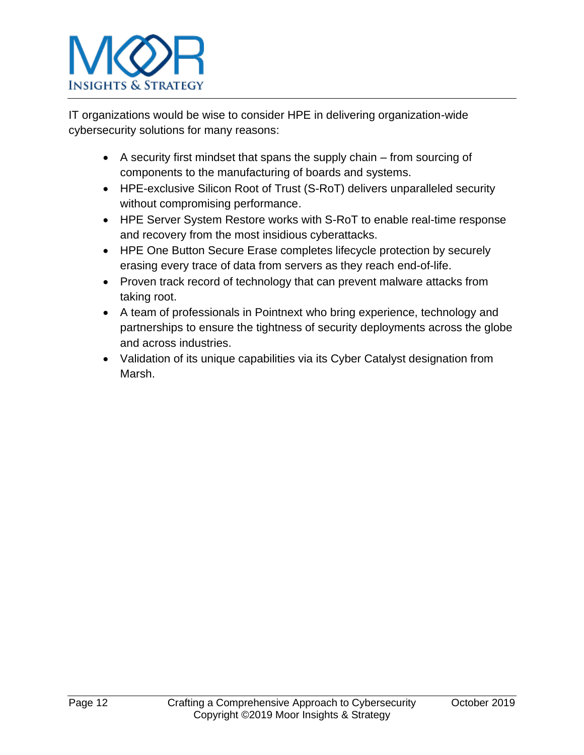

IT organizations would be wise to consider HPE in delivering organization-wide cybersecurity solutions for many reasons:

- A security first mindset that spans the supply chain from sourcing of components to the manufacturing of boards and systems.
- HPE-exclusive Silicon Root of Trust (S-RoT) delivers unparalleled security without compromising performance.
- HPE Server System Restore works with S-RoT to enable real-time response and recovery from the most insidious cyberattacks.
- HPE One Button Secure Erase completes lifecycle protection by securely erasing every trace of data from servers as they reach end-of-life.
- Proven track record of technology that can prevent malware attacks from taking root.
- A team of professionals in Pointnext who bring experience, technology and partnerships to ensure the tightness of security deployments across the globe and across industries.
- Validation of its unique capabilities via its Cyber Catalyst designation from Marsh.